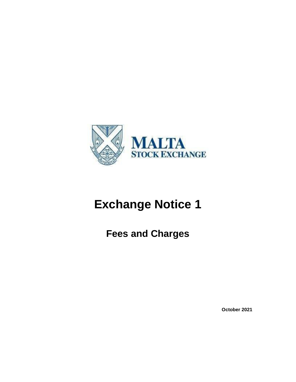

# **Exchange Notice 1**

**Fees and Charges**

**October 2021**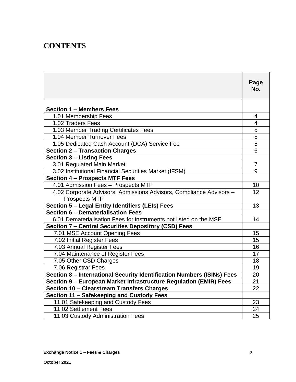## **CONTENTS**

|                                                                        | Page          |
|------------------------------------------------------------------------|---------------|
|                                                                        | No.           |
| <b>Section 1 – Members Fees</b>                                        |               |
| 1.01 Membership Fees                                                   | 4             |
| 1.02 Traders Fees                                                      | 4             |
| 1.03 Member Trading Certificates Fees                                  | 5             |
| 1.04 Member Turnover Fees                                              |               |
| 1.05 Dedicated Cash Account (DCA) Service Fee                          | $\frac{5}{5}$ |
| <b>Section 2 - Transaction Charges</b>                                 | 6             |
| <b>Section 3 - Listing Fees</b>                                        |               |
| 3.01 Regulated Main Market                                             | 7             |
| 3.02 Institutional Financial Securities Market (IFSM)                  | 9             |
| <b>Section 4 - Prospects MTF Fees</b>                                  |               |
| 4.01 Admission Fees - Prospects MTF                                    | 10            |
| 4.02 Corporate Advisors, Admissions Advisors, Compliance Advisors -    | 12            |
| <b>Prospects MTF</b>                                                   |               |
| Section 5 - Legal Entity Identifiers (LEIs) Fees                       | 13            |
| Section 6 - Dematerialisation Fees                                     |               |
| 6.01 Dematerialisation Fees for instruments not listed on the MSE      | 14            |
| <b>Section 7 - Central Securities Depository (CSD) Fees</b>            |               |
| 7.01 MSE Account Opening Fees                                          | 15            |
| 7.02 Initial Register Fees                                             | 15            |
| 7.03 Annual Register Fees                                              | 16            |
| 7.04 Maintenance of Register Fees                                      | 17            |
| 7.05 Other CSD Charges                                                 | 18            |
| 7.06 Registrar Fees                                                    | 19            |
| Section 8 - International Security Identification Numbers (ISINs) Fees | 20            |
| Section 9 - European Market Infrastructure Regulation (EMIR) Fees      | 21            |
| Section 10 - Clearstream Transfers Charges                             | 22            |
| Section 11 - Safekeeping and Custody Fees                              |               |
| 11.01 Safekeeping and Custody Fees                                     | 23            |
| 11.02 Settlement Fees                                                  | 24            |
| 11.03 Custody Administration Fees                                      | 25            |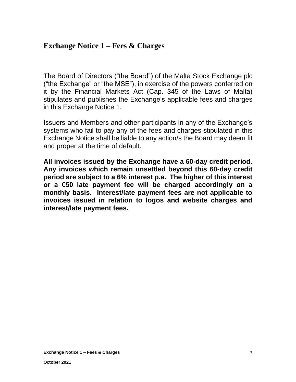## **Exchange Notice 1 – Fees & Charges**

The Board of Directors ("the Board") of the Malta Stock Exchange plc ("the Exchange" or "the MSE"), in exercise of the powers conferred on it by the Financial Markets Act (Cap. 345 of the Laws of Malta) stipulates and publishes the Exchange's applicable fees and charges in this Exchange Notice 1.

Issuers and Members and other participants in any of the Exchange's systems who fail to pay any of the fees and charges stipulated in this Exchange Notice shall be liable to any action/s the Board may deem fit and proper at the time of default.

**All invoices issued by the Exchange have a 60-day credit period. Any invoices which remain unsettled beyond this 60-day credit period are subject to a 6% interest p.a. The higher of this interest or a €50 late payment fee will be charged accordingly on a monthly basis. Interest/late payment fees are not applicable to invoices issued in relation to logos and website charges and interest/late payment fees.**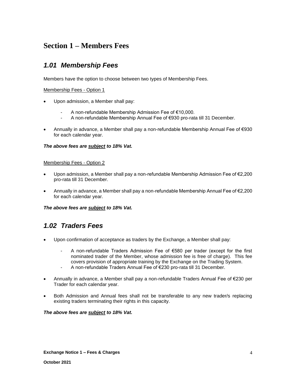### **Section 1 – Members Fees**

### *1.01 Membership Fees*

Members have the option to choose between two types of Membership Fees.

#### Membership Fees - Option 1

- Upon admission, a Member shall pay:
	- A non-refundable Membership Admission Fee of €10,000.
	- A non-refundable Membership Annual Fee of €930 pro-rata till 31 December.
- Annually in advance, a Member shall pay a non-refundable Membership Annual Fee of €930 for each calendar year.

#### *The above fees are subject to 18% Vat.*

#### Membership Fees - Option 2

- Upon admission, a Member shall pay a non-refundable Membership Admission Fee of €2,200 pro-rata till 31 December.
- Annually in advance, a Member shall pay a non-refundable Membership Annual Fee of €2,200 for each calendar year.

#### *The above fees are subject to 18% Vat.*

### *1.02 Traders Fees*

- Upon confirmation of acceptance as traders by the Exchange, a Member shall pay:
	- A non-refundable Traders Admission Fee of €580 per trader (except for the first nominated trader of the Member, whose admission fee is free of charge). This fee covers provision of appropriate training by the Exchange on the Trading System.
	- A non-refundable Traders Annual Fee of €230 pro-rata till 31 December.
- Annually in advance, a Member shall pay a non-refundable Traders Annual Fee of €230 per Trader for each calendar year.
- Both Admission and Annual fees shall not be transferable to any new trader/s replacing existing traders terminating their rights in this capacity.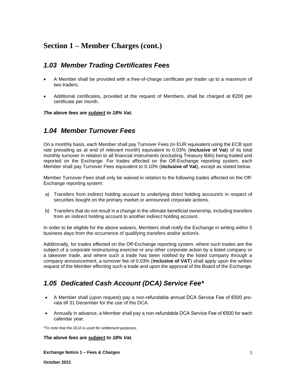### **Section 1 – Member Charges (cont.)**

### *1.03 Member Trading Certificates Fees*

- A Member shall be provided with a free-of-charge certificate per trader up to a maximum of two traders.
- Additional certificates, provided at the request of Members, shall be charged at  $\epsilon$ 200 per certificate per month.

*The above fees are subject to 18% Vat.*

### *1.04 Member Turnover Fees*

On a monthly basis, each Member shall pay Turnover Fees (in EUR equivalent using the ECB spot rate prevailing as at end of relevant month) equivalent to 0.03% (**inclusive of Vat**) of its total monthly turnover in relation to all financial instruments (excluding Treasury Bills) being traded and reported on the Exchange. For trades affected on the Off-Exchange reporting system, each Member shall pay Turnover Fees equivalent to 0.10% (**inclusive of Vat**), except as stated below.

Member Turnover Fees shall only be waived in relation to the following trades affected on the Off-Exchange reporting system:

- a) Transfers from indirect holding account to underlying direct holding account/s in respect of securities bought on the primary market or announced corporate actions.
- b) Transfers that do not result in a change in the ultimate beneficial ownership, including transfers from an indirect holding account to another indirect holding account.

In order to be eligible for the above waivers, Members shall notify the Exchange in writing within 5 business days from the occurrence of qualifying transfers and/or action/s.

Additionally, for trades effected on the Off-Exchange reporting system, where such trades are the subject of a corporate restructuring exercise or any other corporate action by a listed company or a takeover trade, and where such a trade has been notified by the listed company through a company announcement, a turnover fee of 0.03% (**inclusive of VAT**) shall apply upon the written request of the Member effecting such a trade and upon the approval of the Board of the Exchange.

### *1.05 Dedicated Cash Account (DCA) Service Fee\**

- A Member shall (upon request) pay a non-refundable annual DCA Service Fee of €500 prorata till 31 December for the use of the DCA.
- Annually in advance, a Member shall pay a non-refundable DCA Service Fee of €500 for each calendar year.

*\*To note that the DCA is used for settlement purposes.*

*The above fees are subject to 18% Vat.*

**Exchange Notice 1 – Fees & Charges**

**October 2021**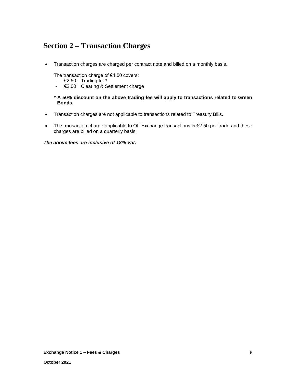### **Section 2 – Transaction Charges**

• Transaction charges are charged per contract note and billed on a monthly basis.

The transaction charge of €4.50 covers:

- €2.50 Trading fee**\***
- €2.00 Clearing & Settlement charge

#### **\* A 50% discount on the above trading fee will apply to transactions related to Green Bonds.**

- Transaction charges are not applicable to transactions related to Treasury Bills.
- The transaction charge applicable to Off-Exchange transactions is €2.50 per trade and these charges are billed on a quarterly basis.

*The above fees are inclusive of 18% Vat.*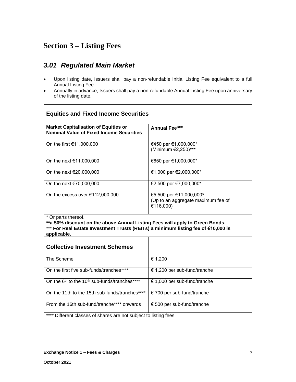## **Section 3 – Listing Fees**

### *3.01 Regulated Main Market*

- Upon listing date, Issuers shall pay a non-refundable Initial Listing Fee equivalent to a full Annual Listing Fee.
- Annually in advance, Issuers shall pay a non-refundable Annual Listing Fee upon anniversary of the listing date.

| <b>Equities and Fixed Income Securities</b>                                                                                                                                                             |                                                                            |  |  |
|---------------------------------------------------------------------------------------------------------------------------------------------------------------------------------------------------------|----------------------------------------------------------------------------|--|--|
| <b>Market Capitalisation of Equities or</b><br><b>Nominal Value of Fixed Income Securities</b>                                                                                                          | Annual Fee**                                                               |  |  |
| On the first €11,000,000                                                                                                                                                                                | €450 per €1,000,000*<br>(Minimum €2,250)***                                |  |  |
| On the next €11,000,000                                                                                                                                                                                 | €650 per €1,000,000*                                                       |  |  |
| On the next €20,000,000                                                                                                                                                                                 | €1,000 per €2,000,000*                                                     |  |  |
| On the next €70,000,000                                                                                                                                                                                 | €2,500 per €7,000,000*                                                     |  |  |
| On the excess over $€112,000,000$                                                                                                                                                                       | €5,500 per €11,000,000*<br>(Up to an aggregate maximum fee of<br>€116,000) |  |  |
| * Or parts thereof.<br>**a 50% discount on the above Annual Listing Fees will apply to Green Bonds.<br>*** For Real Estate Investment Trusts (REITs) a minimum listing fee of €10,000 is<br>applicable. |                                                                            |  |  |
| <b>Collective Investment Schemes</b>                                                                                                                                                                    |                                                                            |  |  |
| The Scheme                                                                                                                                                                                              | € 1,200                                                                    |  |  |
| On the first five sub-funds/tranches****                                                                                                                                                                | € 1,200 per sub-fund/tranche                                               |  |  |
| On the 6 <sup>th</sup> to the 10 <sup>th</sup> sub-funds/tranches****                                                                                                                                   | € 1,000 per sub-fund/tranche                                               |  |  |
| On the 11th to the 15th sub-funds/tranches****                                                                                                                                                          | € 700 per sub-fund/tranche                                                 |  |  |
| From the 16th sub-fund/tranche**** onwards                                                                                                                                                              | € 500 per sub-fund/tranche                                                 |  |  |
| Different classes of shares are not subject to listing fees.                                                                                                                                            |                                                                            |  |  |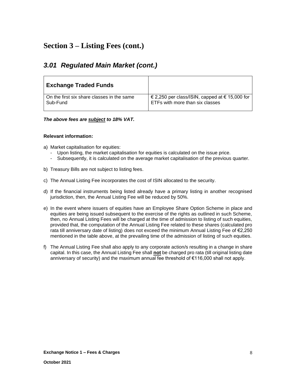### **Section 3 – Listing Fees (cont.)**

### *3.01 Regulated Main Market (cont.)*

| <b>Exchange Traded Funds</b>               |                                                |
|--------------------------------------------|------------------------------------------------|
| On the first six share classes in the same | € 2,250 per class/ISIN, capped at € 15,000 for |
| Sub-Fund                                   | ETFs with more than six classes                |

#### *The above fees are subject to 18% VAT.*

#### **Relevant information:**

- a) Market capitalisation for equities:
	- Upon listing, the market capitalisation for equities is calculated on the issue price.
	- Subsequently, it is calculated on the average market capitalisation of the previous quarter.
- b) Treasury Bills are not subject to listing fees.
- c) The Annual Listing Fee incorporates the cost of ISIN allocated to the security.
- d) If the financial instruments being listed already have a primary listing in another recognised jurisdiction, then, the Annual Listing Fee will be reduced by 50%.
- e) In the event where issuers of equities have an Employee Share Option Scheme in place and equities are being issued subsequent to the exercise of the rights as outlined in such Scheme, then, no Annual Listing Fees will be charged at the time of admission to listing of such equities, provided that, the computation of the Annual Listing Fee related to these shares (calculated pro rata till anniversary date of listing) does not exceed the minimum Annual Listing Fee of €2,250 mentioned in the table above, at the prevailing time of the admission of listing of such equities.
- f) The Annual Listing Fee shall also apply to any corporate action/s resulting in a change in share capital. In this case, the Annual Listing Fee shall **not** be charged pro rata (till original listing date anniversary of security) and the maximum annual fee threshold of €116,000 shall not apply.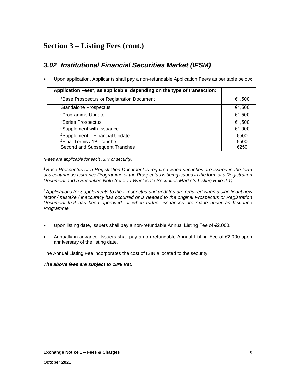## **Section 3 – Listing Fees (cont.)**

### *3.02 Institutional Financial Securities Market (IFSM)*

• Upon application, Applicants shall pay a non-refundable Application Fee/s as per table below:

| Application Fees*, as applicable, depending on the type of transaction: |        |
|-------------------------------------------------------------------------|--------|
| <sup>1</sup> Base Prospectus or Registration Document                   | €1,500 |
| <b>Standalone Prospectus</b>                                            | €1,500 |
| <sup>2</sup> Programme Update                                           | €1,500 |
| <sup>2</sup> Series Prospectus                                          | €1,500 |
| <sup>2</sup> Supplement with Issuance                                   | €1,000 |
| <sup>2</sup> Supplement - Financial Update                              | €500   |
| <sup>2</sup> Final Terms / 1 <sup>st</sup> Tranche                      | €500   |
| Second and Subsequent Tranches                                          | €250   |

*\*Fees are applicable for each ISIN or security.*

*<sup>1</sup>Base Prospectus or a Registration Document is required when securities are issued in the form of a continuous Issuance Programme or the Prospectus is being issued in the form of a Registration Document and a Securities Note (refer to Wholesale Securities Markets Listing Rule 2.1)*

*<sup>2</sup>Applications for Supplements to the Prospectus and updates are required when a significant new factor / mistake / inaccuracy has occurred or is needed to the original Prospectus or Registration Document that has been approved, or when further issuances are made under an Issuance Programme.*

- Upon listing date, Issuers shall pay a non-refundable Annual Listing Fee of €2,000.
- Annually in advance, Issuers shall pay a non-refundable Annual Listing Fee of €2,000 upon anniversary of the listing date.

The Annual Listing Fee incorporates the cost of ISIN allocated to the security.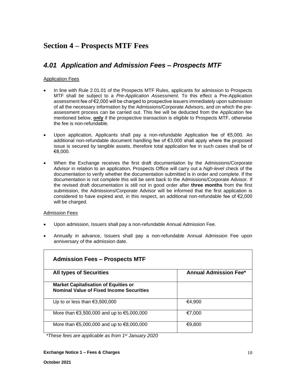### **Section 4 – Prospects MTF Fees**

### *4.01 Application and Admission Fees – Prospects MTF*

#### Application Fees

- In line with Rule 2.01.01 of the Prospects MTF Rules, applicants for admission to Prospects MTF shall be subject to a *Pre-Application Assessment*. To this effect a Pre-Application assessment fee of €2,000 will be charged to prospective issuers immediately upon submission of all the necessary information by the Admissions/Corporate Advisors, and on which the preassessment process can be carried out. This fee will be deducted from the Application fee mentioned below, **only** if the prospective transaction is eligible to Prospects MTF, otherwise the fee is non-refundable.
- Upon application, Applicants shall pay a non-refundable Application fee of €5,000. An additional non-refundable document handling fee of €3,000 shall apply where the proposed issue is secured by tangible assets, therefore total application fee in such cases shall be of €8,000.
- When the Exchange receives the first draft documentation by the Admissions/Corporate Advisor in relation to an application, Prospects Office will carry out a *high-level* check of the documentation to verify whether the documentation submitted is in order and complete. If the documentation is not complete this will be sent back to the Admissions/Corporate Advisor. If the revised draft documentation is still not in good order after **three months** from the first submission, the Admissions/Corporate Advisor will be informed that the first application is considered to have expired and, in this respect, an additional non-refundable fee of  $\epsilon$ 2,000 will be charged.

#### Admission Fees

- Upon admission, Issuers shall pay a non-refundable Annual Admission Fee.
- Annually in advance, Issuers shall pay a non-refundable Annual Admission Fee upon anniversary of the admission date.

| <b>Admission Fees – Prospects MTF</b>                                                          |                              |
|------------------------------------------------------------------------------------------------|------------------------------|
| <b>All types of Securities</b>                                                                 | <b>Annual Admission Fee*</b> |
| <b>Market Capitalisation of Equities or</b><br><b>Nominal Value of Fixed Income Securities</b> |                              |
| Up to or less than $\epsilon$ 3,500,000                                                        | €4.900                       |
| More than $\epsilon$ 3,500,000 and up to $\epsilon$ 5,000,000                                  | €7.000                       |
| More than $\text{\textsterling}5,000,000$ and up to $\text{\textsterling}8,000,000$            | €9,800                       |

*\*These fees are applicable as from 1st January 2020*

#### **Exchange Notice 1 – Fees & Charges**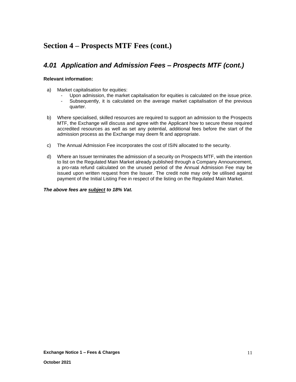## **Section 4 – Prospects MTF Fees (cont.)**

### *4.01 Application and Admission Fees – Prospects MTF (cont.)*

#### **Relevant information:**

- a) Market capitalisation for equities:
	- Upon admission, the market capitalisation for equities is calculated on the issue price.
	- Subsequently, it is calculated on the average market capitalisation of the previous quarter.
- b) Where specialised, skilled resources are required to support an admission to the Prospects MTF, the Exchange will discuss and agree with the Applicant how to secure these required accredited resources as well as set any potential, additional fees before the start of the admission process as the Exchange may deem fit and appropriate.
- c) The Annual Admission Fee incorporates the cost of ISIN allocated to the security.
- d) Where an Issuer terminates the admission of a security on Prospects MTF, with the intention to list on the Regulated Main Market already published through a Company Announcement, a pro-rata refund calculated on the unused period of the Annual Admission Fee may be issued upon written request from the Issuer. The credit note may only be utilised against payment of the Initial Listing Fee in respect of the listing on the Regulated Main Market.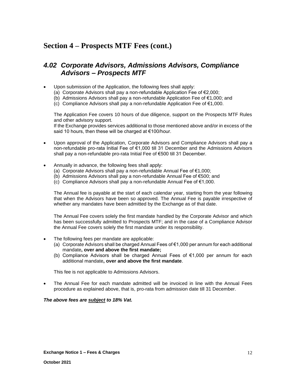## **Section 4 – Prospects MTF Fees (cont.)**

### *4.02 Corporate Advisors, Admissions Advisors, Compliance Advisors – Prospects MTF*

- Upon submission of the Application, the following fees shall apply:
	- (a) Corporate Advisors shall pay a non-refundable Application Fee of €2,000;
	- (b) Admissions Advisors shall pay a non-refundable Application Fee of €1,000; and
	- (c) Compliance Advisors shall pay a non-refundable Application Fee of €1,000.

The Application Fee covers 10 hours of due diligence, support on the Prospects MTF Rules and other advisory support.

If the Exchange provides services additional to those mentioned above and/or in excess of the said 10 hours, then these will be charged at €100/hour.

- Upon approval of the Application, Corporate Advisors and Compliance Advisors shall pay a non-refundable pro-rata Initial Fee of €1,000 till 31 December and the Admissions Advisors shall pay a non-refundable pro-rata Initial Fee of €500 till 31 December.
- Annually in advance, the following fees shall apply:
	- (a) Corporate Advisors shall pay a non-refundable Annual Fee of  $\epsilon$ 1,000;
	- (b) Admissions Advisors shall pay a non-refundable Annual Fee of €500; and
	- (c) Compliance Advisors shall pay a non-refundable Annual Fee of €1,000.

The Annual fee is payable at the start of each calendar year, starting from the year following that when the Advisors have been so approved. The Annual Fee is payable irrespective of whether any mandates have been admitted by the Exchange as of that date.

The Annual Fee covers solely the first mandate handled by the Corporate Advisor and which has been successfully admitted to Prospects MTF; and in the case of a Compliance Advisor the Annual Fee covers solely the first mandate under its responsibility.

- The following fees per mandate are applicable:
	- (a) Corporate Advisors shall be charged Annual Fees of €1,000 per annum for each additional mandate**, over and above the first mandate;**
	- (b) Compliance Advisors shall be charged Annual Fees of €1,000 per annum for each additional mandate**, over and above the first mandate**.

This fee is not applicable to Admissions Advisors.

• The Annual Fee for each mandate admitted will be invoiced in line with the Annual Fees procedure as explained above, that is, pro-rata from admission date till 31 December.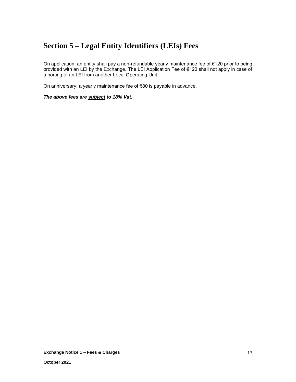## **Section 5 – Legal Entity Identifiers (LEIs) Fees**

On application, an entity shall pay a non-refundable yearly maintenance fee of €120 prior to being provided with an LEI by the Exchange. The LEI Application Fee of €120 shall not apply in case of a porting of an LEI from another Local Operating Unit.

On anniversary, a yearly maintenance fee of €80 is payable in advance.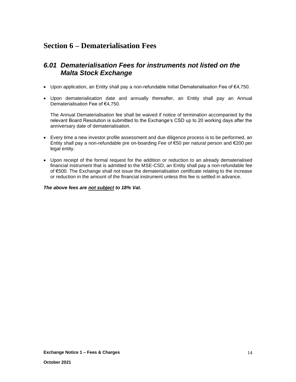### **Section 6 – Dematerialisation Fees**

### *6.01 Dematerialisation Fees for instruments not listed on the Malta Stock Exchange*

- Upon application, an Entity shall pay a non-refundable Initial Dematerialisation Fee of €4,750.
- Upon dematerialisation date and annually thereafter, an Entity shall pay an Annual Dematerialisation Fee of €4,750.

The Annual Dematerialisation fee shall be waived if notice of termination accompanied by the relevant Board Resolution is submitted to the Exchange's CSD up to 20 working days after the anniversary date of dematerialisation.

- Every time a new investor profile assessment and due diligence process is to be performed, an Entity shall pay a non-refundable pre on-boarding Fee of €50 per natural person and €200 per legal entity.
- Upon receipt of the formal request for the addition or reduction to an already dematerialised financial instrument that is admitted to the MSE-CSD, an Entity shall pay a non-refundable fee of €500. The Exchange shall not issue the dematerialisation certificate relating to the increase or reduction in the amount of the financial instrument unless this fee is settled in advance.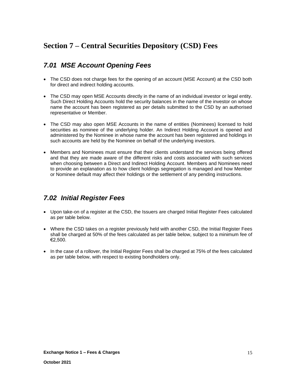### *7.01 MSE Account Opening Fees*

- The CSD does not charge fees for the opening of an account (MSE Account) at the CSD both for direct and indirect holding accounts.
- The CSD may open MSE Accounts directly in the name of an individual investor or legal entity. Such Direct Holding Accounts hold the security balances in the name of the investor on whose name the account has been registered as per details submitted to the CSD by an authorised representative or Member.
- The CSD may also open MSE Accounts in the name of entities (Nominees) licensed to hold securities as nominee of the underlying holder. An Indirect Holding Account is opened and administered by the Nominee in whose name the account has been registered and holdings in such accounts are held by the Nominee on behalf of the underlying investors.
- Members and Nominees must ensure that their clients understand the services being offered and that they are made aware of the different risks and costs associated with such services when choosing between a Direct and Indirect Holding Account. Members and Nominees need to provide an explanation as to how client holdings segregation is managed and how Member or Nominee default may affect their holdings or the settlement of any pending instructions.

### *7.02 Initial Register Fees*

- Upon take-on of a register at the CSD, the Issuers are charged Initial Register Fees calculated as per table below.
- Where the CSD takes on a register previously held with another CSD, the Initial Register Fees shall be charged at 50% of the fees calculated as per table below, subject to a minimum fee of €2,500.
- In the case of a rollover, the Initial Register Fees shall be charged at 75% of the fees calculated as per table below, with respect to existing bondholders only.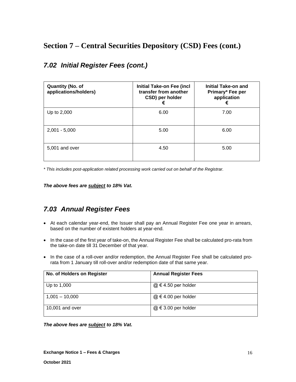| <b>Quantity (No. of</b><br>applications/holders) | <b>Initial Take-on Fee (incl</b><br>transfer from another<br>CSD) per holder<br>€ | Initial Take-on and<br>Primary* Fee per<br>application<br>€ |
|--------------------------------------------------|-----------------------------------------------------------------------------------|-------------------------------------------------------------|
| Up to 2,000                                      | 6.00                                                                              | 7.00                                                        |
| $2,001 - 5,000$                                  | 5.00                                                                              | 6.00                                                        |
| 5.001 and over                                   | 4.50                                                                              | 5.00                                                        |

### *7.02 Initial Register Fees (cont.)*

*\* This includes post-application related processing work carried out on behalf of the Registrar.*

*The above fees are subject to 18% Vat.*

### *7.03 Annual Register Fees*

- At each calendar year-end, the Issuer shall pay an Annual Register Fee one year in arrears, based on the number of existent holders at year-end.
- In the case of the first year of take-on, the Annual Register Fee shall be calculated pro-rata from the take-on date till 31 December of that year.
- In the case of a roll-over and/or redemption, the Annual Register Fee shall be calculated prorata from 1 January till roll-over and/or redemption date of that same year.

| No. of Holders on Register | <b>Annual Register Fees</b> |
|----------------------------|-----------------------------|
| Up to 1,000                | $@ \in 4.50$ per holder     |
| $1,001 - 10,000$           | $@ \in 4.00$ per holder     |
| 10,001 and over            | $@ \in 3.00$ per holder     |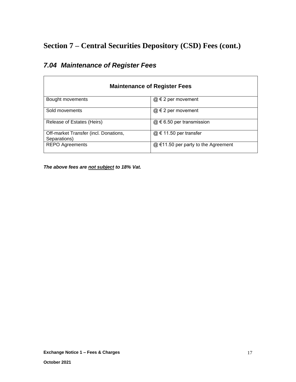| <b>Maintenance of Register Fees</b>                   |                                       |  |  |
|-------------------------------------------------------|---------------------------------------|--|--|
| Bought movements                                      | $@ \in 2$ per movement                |  |  |
| Sold movements                                        | $@ \in 2$ per movement                |  |  |
| Release of Estates (Heirs)                            | $@ \in 6.50$ per transmission         |  |  |
| Off-market Transfer (incl. Donations,<br>Separations) | $@ \in 11.50$ per transfer            |  |  |
| <b>REPO Agreements</b>                                | $@$ €11.50 per party to the Agreement |  |  |

## *7.04 Maintenance of Register Fees*

 $\mathsf{r}$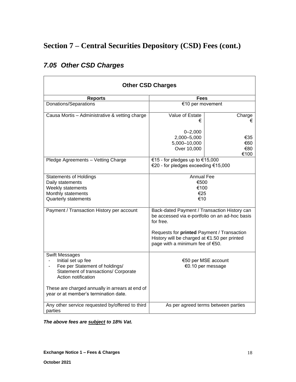| <b>Other CSD Charges</b>                                                                                                                                                                                                                 |                                                                                                                                                                                              |                                     |  |
|------------------------------------------------------------------------------------------------------------------------------------------------------------------------------------------------------------------------------------------|----------------------------------------------------------------------------------------------------------------------------------------------------------------------------------------------|-------------------------------------|--|
| <b>Reports</b>                                                                                                                                                                                                                           | Fees                                                                                                                                                                                         |                                     |  |
| Donations/Separations                                                                                                                                                                                                                    | €10 per movement                                                                                                                                                                             |                                     |  |
| Causa Mortis - Administrative & vetting charge                                                                                                                                                                                           | Value of Estate<br>€                                                                                                                                                                         | Charge<br>€                         |  |
|                                                                                                                                                                                                                                          | $0 - 2,000$<br>2,000-5,000<br>5,000-10,000<br>Over 10,000                                                                                                                                    | €35<br>€60<br>€80<br>€100           |  |
| Pledge Agreements - Vetting Charge                                                                                                                                                                                                       | €15 - for pledges up to €15,000<br>€20 - for pledges exceeding €15,000                                                                                                                       |                                     |  |
| <b>Statements of Holdings</b><br>Daily statements<br>Weekly statements<br>Monthly statements<br><b>Quarterly statements</b><br>Payment / Transaction History per account                                                                 | <b>Annual Fee</b><br>€500<br>€100<br>€25<br>€10<br>Back-dated Payment / Transaction History can                                                                                              |                                     |  |
|                                                                                                                                                                                                                                          | be accessed via e-portfolio on an ad-hoc basis<br>for free.<br>Requests for printed Payment / Transaction<br>History will be charged at €1.50 per printed<br>page with a minimum fee of €50. |                                     |  |
| <b>Swift Messages</b><br>Initial set up fee<br>Fee per Statement of holdings/<br>Statement of transactions/ Corporate<br>Action notification<br>These are charged annually in arrears at end of<br>year or at member's termination date. | €50 per MSE account<br>€0.10 per message                                                                                                                                                     |                                     |  |
| Any other service requested by/offered to third<br>parties                                                                                                                                                                               |                                                                                                                                                                                              | As per agreed terms between parties |  |

## *7.05 Other CSD Charges*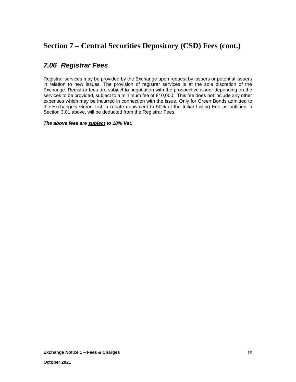### *7.06 Registrar Fees*

Registrar services may be provided by the Exchange upon request by issuers or potential issuers in relation to new issues. The provision of registrar services is at the sole discretion of the Exchange. Registrar fees are subject to negotiation with the prospective issuer depending on the services to be provided, subject to a minimum fee of €10,000. This fee does not include any other expenses which may be incurred in connection with the issue. Only for Green Bonds admitted to the Exchange's Green List, a rebate equivalent to 50% of the Initial Listing Fee as outlined in Section 3.01 above, will be deducted from the Registrar Fees.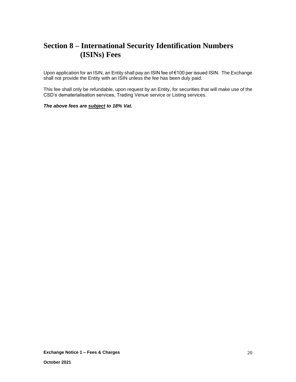## **Section 8 – International Security Identification Numbers (ISINs) Fees**

Upon application for an ISIN, an Entity shall pay an ISIN fee of €100 per issued ISIN. The Exchange shall not provide the Entity with an ISIN unless the fee has been duly paid.

This fee shall only be refundable, upon request by an Entity, for securities that will make use of the CSD's dematerialisation services, Trading Venue service or Listing services.

#### *The above fees are subject to 18% Vat.*

**Exchange Notice 1 – Fees & Charges**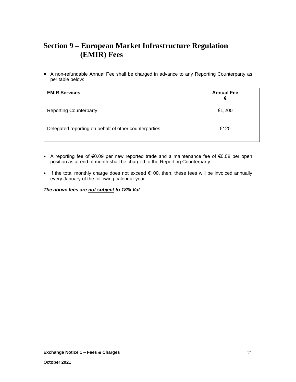## **Section 9 – European Market Infrastructure Regulation (EMIR) Fees**

• A non-refundable Annual Fee shall be charged in advance to any Reporting Counterparty as per table below:

| <b>EMIR Services</b>                                  | <b>Annual Fee</b><br>€ |
|-------------------------------------------------------|------------------------|
| <b>Reporting Counterparty</b>                         | €1,200                 |
| Delegated reporting on behalf of other counterparties | €120                   |

- A reporting fee of €0.09 per new reported trade and a maintenance fee of €0.08 per open position as at end of month shall be charged to the Reporting Counterparty.
- If the total monthly charge does not exceed €100, then, these fees will be invoiced annually every January of the following calendar year.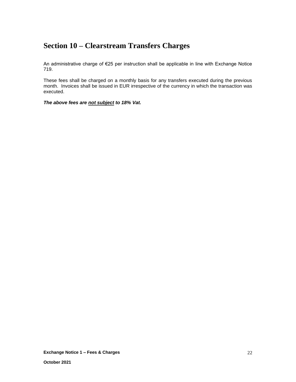## **Section 10 – Clearstream Transfers Charges**

An administrative charge of €25 per instruction shall be applicable in line with Exchange Notice 719.

These fees shall be charged on a monthly basis for any transfers executed during the previous month. Invoices shall be issued in EUR irrespective of the currency in which the transaction was executed.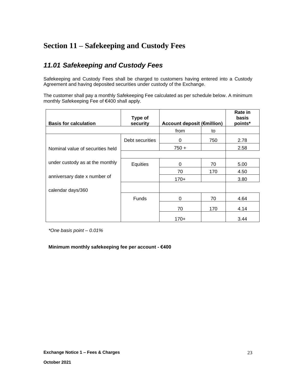## **Section 11 – Safekeeping and Custody Fees**

### *11.01 Safekeeping and Custody Fees*

Safekeeping and Custody Fees shall be charged to customers having entered into a Custody Agreement and having deposited securities under custody of the Exchange.

The customer shall pay a monthly Safekeeping Fee calculated as per schedule below. A minimum monthly Safekeeping Fee of €400 shall apply.

| <b>Basis for calculation</b>     | Type of<br>security | <b>Account deposit (€million)</b> |     | Rate in<br>basis<br>points* |
|----------------------------------|---------------------|-----------------------------------|-----|-----------------------------|
|                                  |                     | from                              | to  |                             |
|                                  | Debt securities     | 0                                 | 750 | 2.78                        |
| Nominal value of securities held |                     | $750 +$                           |     | 2.58                        |
|                                  |                     |                                   |     |                             |
| under custody as at the monthly  | Equities            | 0                                 | 70  | 5.00                        |
|                                  |                     | 70                                | 170 | 4.50                        |
| anniversary date x number of     |                     | $170+$                            |     | 3.80                        |
| calendar days/360                |                     |                                   |     |                             |
|                                  | <b>Funds</b>        | 0                                 | 70  | 4.64                        |
|                                  |                     | 70                                | 170 | 4.14                        |
|                                  |                     | 170+                              |     | 3.44                        |

*\*One basis point – 0.01%*

#### **Minimum monthly safekeeping fee per account - €400**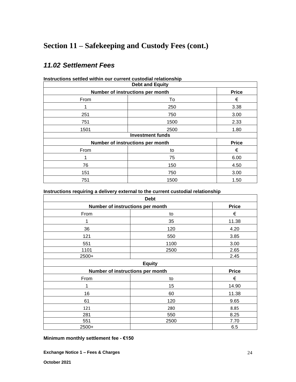## **Section 11 – Safekeeping and Custody Fees (cont.)**

### *11.02 Settlement Fees*

| <b>Debt and Equity</b>                           |      |              |  |
|--------------------------------------------------|------|--------------|--|
| Number of instructions per month                 |      | <b>Price</b> |  |
| From                                             | To   | €            |  |
|                                                  | 250  | 3.38         |  |
| 251                                              | 750  | 3.00         |  |
| 751                                              | 1500 | 2.33         |  |
| 1501                                             | 2500 | 1.80         |  |
| <b>Investment funds</b>                          |      |              |  |
| <b>Price</b><br>Number of instructions per month |      |              |  |
| From                                             | to   | €            |  |
|                                                  | 75   | 6.00         |  |
| 76                                               | 150  | 4.50         |  |
| 151                                              | 750  | 3.00         |  |
| 751                                              | 1500 | 1.50         |  |

**Instructions settled within our current custodial relationship**

**Instructions requiring a delivery external to the current custodial relationship**

| <b>Debt</b>                      |      |              |  |
|----------------------------------|------|--------------|--|
| Number of instructions per month |      | <b>Price</b> |  |
| From                             | to   | €            |  |
| 1                                | 35   | 11.38        |  |
| 36                               | 120  | 4.20         |  |
| 121                              | 550  | 3.85         |  |
| 551                              | 1100 | 3.00         |  |
| 1101                             | 2500 | 2.65         |  |
| 2500+                            |      | 2.45         |  |
| <b>Equity</b>                    |      |              |  |
| Number of instructions per month |      | <b>Price</b> |  |
| From                             | to   | €            |  |
| 1                                | 15   | 14.90        |  |
| 16                               | 60   | 11.38        |  |
| 61                               | 120  | 9.65         |  |
| 121                              | 280  | 8.85         |  |
| 281                              | 550  | 8.25         |  |
| 551                              | 2500 | 7.70         |  |
| 2500+                            |      | 6.5          |  |

**Minimum monthly settlement fee - €150**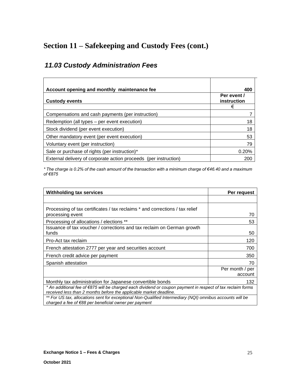## **Section 11 – Safekeeping and Custody Fees (cont.)**

## *11.03 Custody Administration Fees*

| Account opening and monthly maintenance fee                      | 400                             |
|------------------------------------------------------------------|---------------------------------|
| <b>Custody events</b>                                            | Per event /<br>instruction<br>€ |
| Compensations and cash payments (per instruction)                |                                 |
| Redemption (all types – per event execution)                     | 18                              |
| Stock dividend (per event execution)                             | 18                              |
| Other mandatory event (per event execution)                      | 53                              |
| Voluntary event (per instruction)                                | 79                              |
| Sale or purchase of rights (per instruction)*                    | 0.20%                           |
| External delivery of corporate action proceeds (per instruction) | 200                             |

*\* The charge is 0.2% of the cash amount of the transaction with a minimum charge of €46.40 and a maximum of €875*

| <b>Withholding tax services</b>                                                                                                                                                   | Per request                |  |
|-----------------------------------------------------------------------------------------------------------------------------------------------------------------------------------|----------------------------|--|
|                                                                                                                                                                                   |                            |  |
| Processing of tax certificates / tax reclaims * and corrections / tax relief<br>processing event                                                                                  | 70                         |  |
| Processing of allocations / elections **                                                                                                                                          | 53                         |  |
| Issuance of tax voucher / corrections and tax reclaim on German growth<br>funds                                                                                                   | 50                         |  |
| Pro-Act tax reclaim                                                                                                                                                               | 120                        |  |
| French attestation 2777 per year and securities account                                                                                                                           | 700                        |  |
| French credit advice per payment                                                                                                                                                  | 350                        |  |
| Spanish attestation                                                                                                                                                               | 70                         |  |
|                                                                                                                                                                                   | Per month / per<br>account |  |
| Monthly tax administration for Japanese convertible bonds                                                                                                                         | 132                        |  |
| * An additional fee of €875 will be charged each dividend or coupon payment in respect of tax reclaim forms<br>received less than 2 months before the applicable market deadline. |                            |  |
| ** For US tax, allocations sent for exceptional Non-Qualified Intermediary (NQI) omnibus accounts will be<br>charged a fee of $\epsilon$ 88 per beneficial owner per payment      |                            |  |